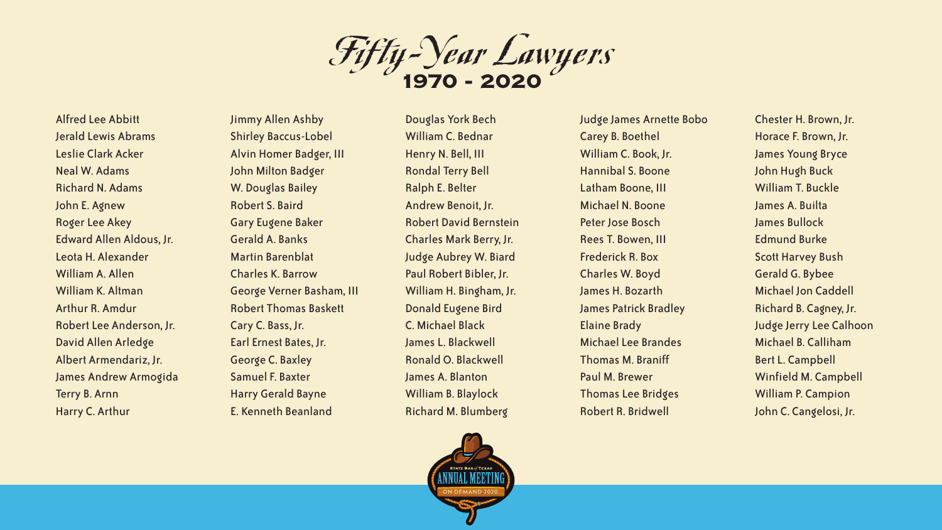Fifty-Year Lawyers **1970 - 2020**

Alfred Lee Abbitt Jerald Lewis Abrams Leslie Clark Acker Neal W. Adams Richard N. Adams John E. Agnew Roger Lee Akey Edward Allen Aldous, Jr. Leota H. Alexander William A. Allen William K. Altman Arthur R. Amdur Robert Lee Anderson, Jr. David Allen Arledge Albert Armendariz, Jr. James Andrew Armogida Terry B. Arnn Harry C. Arthur

Jimmy Allen Ashby Shirley Baccus-Lobel Alvin Homer Badger, III John Milton Badger W. Douglas Bailey Robert S. Baird Gary Eugene Baker Gerald A. Banks Martin Barenblat Charles K. Barrow George Verner Basham, III Robert Thomas Baskett Cary C. Bass, Jr. Earl Ernest Bates, Jr. George C. Baxley Samuel F. Baxter Harry Gerald Bayne E. Kenneth Beanland

Douglas York Bech William C. Bednar Henry N. Bell, III Rondal Terry Bell Ralph E. Belter Andrew Benoit, Jr. Robert David Bernstein Charles Mark Berry, Jr. Judge Aubrey W. Biard Paul Robert Bibler, Jr. William H. Bingham, Jr. Donald Eugene Bird C. Michael Black James L. Blackwell Ronald O. Blackwell James A. Blanton William B. Blaylock Richard M. Blumberg



Judge James Arnette Bobo Carey B. Boethel William C. Book, Jr. Hannibal S. Boone Latham Boone, III Michael N. Boone Peter Jose Bosch Rees T. Bowen, III Frederick R. Box Charles W. Boyd James H. Bozarth James Patrick Bradley Elaine Brady Michael Lee Brandes Thomas M. Braniff Paul M. Brewer Thomas Lee Bridges Robert R. Bridwell

Chester H. Brown, Jr. Horace F. Brown, Jr. James Young Bryce John Hugh Buck William T. Buckle James A. Builta James Bullock Edmund Burke Scott Harvey Bush Gerald G. Bybee Michael Jon Caddell Richard B. Cagney, Jr. Judge Jerry Lee Calhoon Michael B. Calliham Bert L. Campbell Winfield M. Campbell William P. Campion John C. Cangelosi, Jr.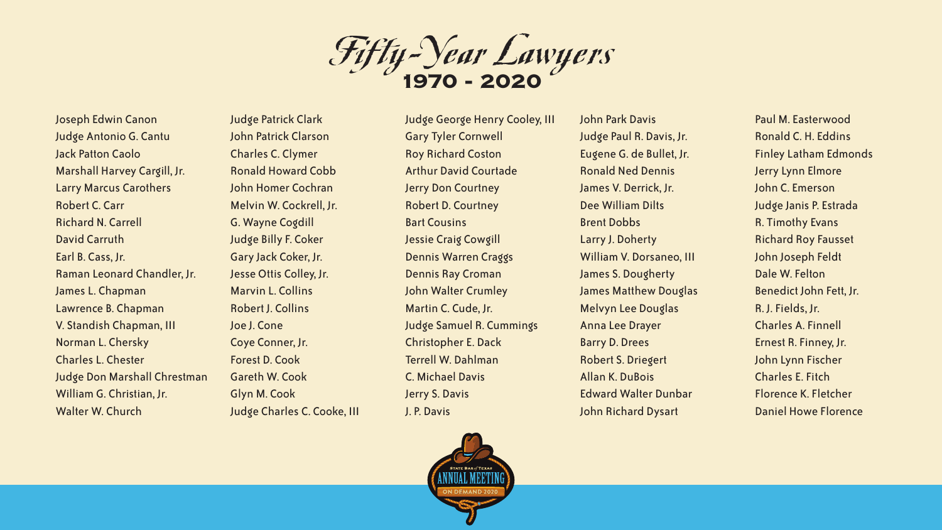Fifty-Year Lawyers **1970 - 2020**

Joseph Edwin Canon Judge Antonio G. Cantu Jack Patton Caolo Marshall Harvey Cargill, Jr. Larry Marcus Carothers Robert C. Carr Richard N. Carrell David Carruth Earl B. Cass, Jr. Raman Leonard Chandler, Jr. James L. Chapman Lawrence B. Chapman V. Standish Chapman, III Norman L. Chersky Charles L. Chester Judge Don Marshall Chrestman William G. Christian, Jr. Walter W. Church

Judge Patrick Clark John Patrick Clarson Charles C. Clymer Ronald Howard Cobb John Homer Cochran Melvin W. Cockrell, Jr. G. Wayne Cogdill Judge Billy F. Coker Gary Jack Coker, Jr. Jesse Ottis Colley, Jr. Marvin L. Collins Robert J. Collins Joe J. Cone Coye Conner, Jr. Forest D. Cook Gareth W. Cook Glyn M. Cook Judge Charles C. Cooke, III

Judge George Henry Cooley, III Gary Tyler Cornwell Roy Richard Coston Arthur David Courtade Jerry Don Courtney Robert D. Courtney Bart Cousins Jessie Craig Cowgill Dennis Warren Craggs Dennis Ray Croman John Walter Crumley Martin C. Cude, Jr. Judge Samuel R. Cummings Christopher E. Dack Terrell W. Dahlman C. Michael Davis Jerry S. Davis J. P. Davis

John Park Davis Judge Paul R. Davis, Jr. Eugene G. de Bullet, Jr. Ronald Ned Dennis James V. Derrick, Jr. Dee William Dilts Brent Dobbs Larry J. Doherty William V. Dorsaneo, III James S. Dougherty James Matthew Douglas Melvyn Lee Douglas Anna Lee Drayer Barry D. Drees Robert S. Driegert Allan K. DuBois Edward Walter Dunbar John Richard Dysart

Paul M. Easterwood Ronald C. H. Eddins Finley Latham Edmonds Jerry Lynn Elmore John C. Emerson Judge Janis P. Estrada R. Timothy Evans Richard Roy Fausset John Joseph Feldt Dale W. Felton Benedict John Fett, Jr. R. J. Fields, Jr. Charles A. Finnell Ernest R. Finney, Jr. John Lynn Fischer Charles E. Fitch Florence K. Fletcher Daniel Howe Florence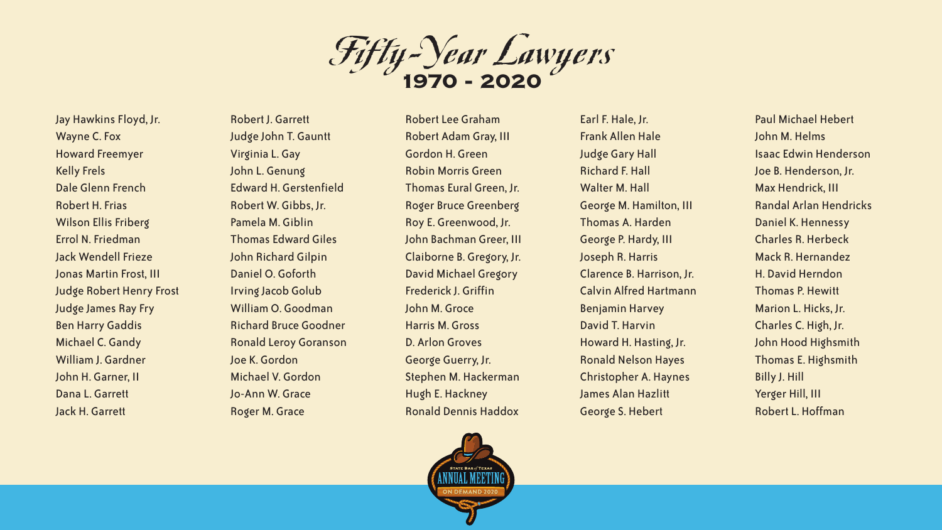Fifty-Year Lawyers **1970 - 2020**

Jay Hawkins Floyd, Jr. Wayne C. Fox Howard Freemyer Kelly Frels Dale Glenn French Robert H. Frias Wilson Ellis Friberg Errol N. Friedman Jack Wendell Frieze Jonas Martin Frost, III Judge Robert Henry Frost Judge James Ray Fry Ben Harry Gaddis Michael C. Gandy William J. Gardner John H. Garner, II Dana L. Garrett Jack H. Garrett

Robert J. Garrett Judge John T. Gauntt Virginia L. Gay John L. Genung Edward H. Gerstenfield Robert W. Gibbs, Jr. Pamela M. Giblin Thomas Edward Giles John Richard Gilpin Daniel O. Goforth Irving Jacob Golub William O. Goodman Richard Bruce Goodner Ronald Leroy Goranson Joe K. Gordon Michael V. Gordon Jo-Ann W. Grace Roger M. Grace

Robert Lee Graham Robert Adam Gray, III Gordon H. Green Robin Morris Green Thomas Eural Green, Jr. Roger Bruce Greenberg Roy E. Greenwood, Jr. John Bachman Greer, III Claiborne B. Gregory, Jr. David Michael Gregory Frederick J. Griffin John M. Groce Harris M. Gross D. Arlon Groves George Guerry, Jr. Stephen M. Hackerman Hugh E. Hackney Ronald Dennis Haddox



Earl F. Hale, Jr. Frank Allen Hale Judge Gary Hall Richard F. Hall Walter M. Hall George M. Hamilton, III Thomas A. Harden George P. Hardy, III Joseph R. Harris Clarence B. Harrison, Jr. Calvin Alfred Hartmann Benjamin Harvey David T. Harvin Howard H. Hasting, Jr. Ronald Nelson Hayes Christopher A. Haynes James Alan Hazlitt George S. Hebert

Paul Michael Hebert John M. Helms Isaac Edwin Henderson Joe B. Henderson, Jr. Max Hendrick, III Randal Arlan Hendricks Daniel K. Hennessy Charles R. Herbeck Mack R. Hernandez H. David Herndon Thomas P. Hewitt Marion L. Hicks, Jr. Charles C. High, Jr. John Hood Highsmith Thomas E. Highsmith Billy J. Hill Yerger Hill, III Robert L. Hoffman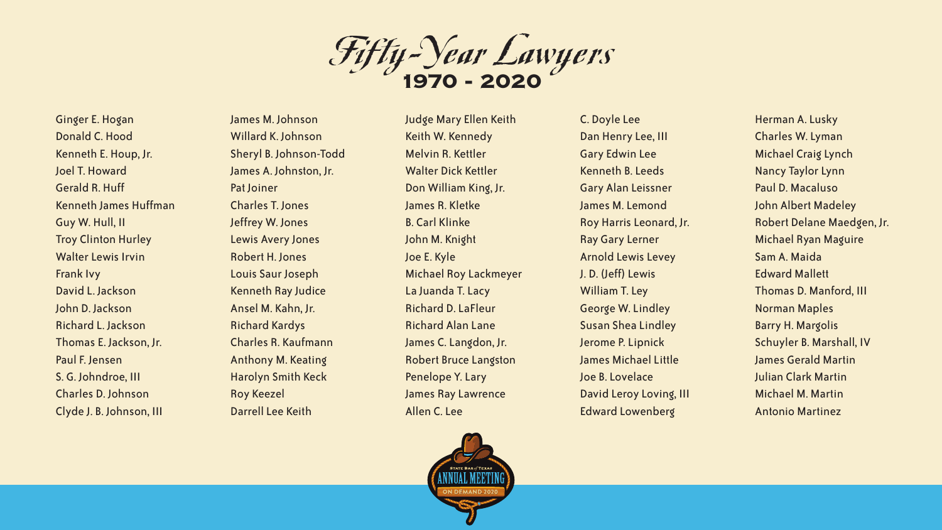Fifty-Year Lawyers **1970 - 2020**

Ginger E. Hogan Donald C. Hood Kenneth E. Houp, Jr. Joel T. Howard Gerald R. Huff Kenneth James Huffman Guy W. Hull, II Troy Clinton Hurley Walter Lewis Irvin Frank Ivy David L. Jackson John D. Jackson Richard L. Jackson Thomas E. Jackson, Jr. Paul F. Jensen S. G. Johndroe, III Charles D. Johnson Clyde J. B. Johnson, III

James M. Johnson Willard K. Johnson Sheryl B. Johnson-Todd James A. Johnston, Jr. Pat Joiner Charles T. Jones Jeffrey W. Jones Lewis Avery Jones Robert H. Jones Louis Saur Joseph Kenneth Ray Judice Ansel M. Kahn, Jr. Richard Kardys Charles R. Kaufmann Anthony M. Keating Harolyn Smith Keck Roy Keezel Darrell Lee Keith

Judge Mary Ellen Keith Keith W. Kennedy Melvin R. Kettler Walter Dick Kettler Don William King, Jr. James R. Kletke B. Carl Klinke John M. Knight Joe E. Kyle Michael Roy Lackmeyer La Juanda T. Lacy Richard D. LaFleur Richard Alan Lane James C. Langdon, Jr. Robert Bruce Langston Penelope Y. Lary James Ray Lawrence Allen C. Lee



C. Doyle Lee Dan Henry Lee, III Gary Edwin Lee Kenneth B. Leeds Gary Alan Leissner James M. Lemond Roy Harris Leonard, Jr. Ray Gary Lerner Arnold Lewis Levey J. D. (Jeff) Lewis William T. Ley George W. Lindley Susan Shea Lindley Jerome P. Lipnick James Michael Little Joe B. Lovelace David Leroy Loving, III Edward Lowenberg

Herman A. Lusky Charles W. Lyman Michael Craig Lynch Nancy Taylor Lynn Paul D. Macaluso John Albert Madeley Robert Delane Maedgen, Jr. Michael Ryan Maguire Sam A. Maida Edward Mallett Thomas D. Manford, III Norman Maples Barry H. Margolis Schuyler B. Marshall, IV James Gerald Martin Julian Clark Martin Michael M. Martin Antonio Martinez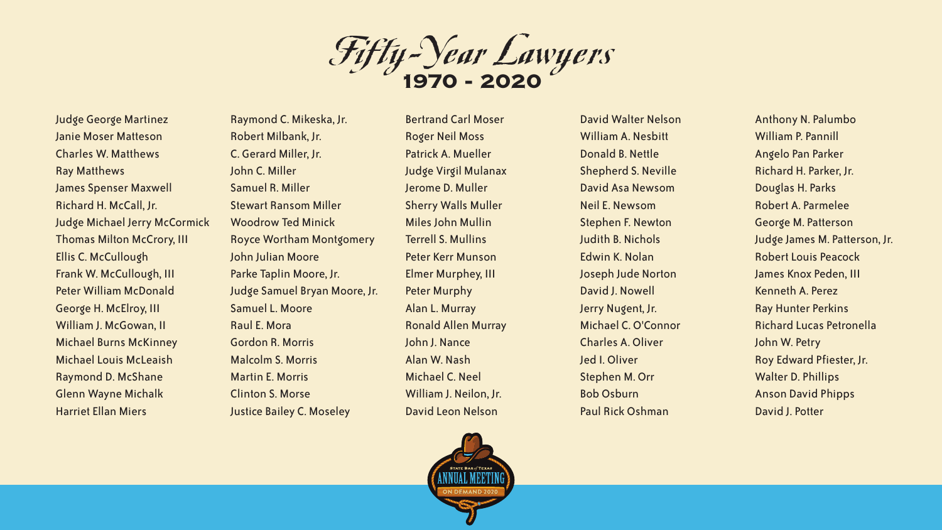Fifty-Year Lawyers **1970 - 2020**

Judge George Martinez Janie Moser Matteson Charles W. Matthews Ray Matthews James Spenser Maxwell Richard H. McCall, Jr. Judge Michael Jerry McCormick Thomas Milton McCrory, III Ellis C. McCullough Frank W. McCullough, III Peter William McDonald George H. McElroy, III William J. McGowan, II Michael Burns McKinney Michael Louis McLeaish Raymond D. McShane Glenn Wayne Michalk Harriet Ellan Miers

Raymond C. Mikeska, Jr. Robert Milbank, Jr. C. Gerard Miller, Jr. John C. Miller Samuel R. Miller Stewart Ransom Miller Woodrow Ted Minick Royce Wortham Montgomery John Julian Moore Parke Taplin Moore, Jr. Judge Samuel Bryan Moore, Jr. Samuel L. Moore Raul E. Mora Gordon R. Morris Malcolm S. Morris Martin E. Morris Clinton S. Morse Justice Bailey C. Moseley

Bertrand Carl Moser Roger Neil Moss Patrick A. Mueller Judge Virgil Mulanax Jerome D. Muller Sherry Walls Muller Miles John Mullin Terrell S. Mullins Peter Kerr Munson Elmer Murphey, III Peter Murphy Alan L. Murray Ronald Allen Murray John J. Nance Alan W. Nash Michael C. Neel William J. Neilon, Jr. David Leon Nelson

David Walter Nelson William A. Nesbitt Donald B. Nettle Shepherd S. Neville David Asa Newsom Neil E. Newsom Stephen F. Newton Judith B. Nichols Edwin K. Nolan Joseph Jude Norton David J. Nowell Jerry Nugent, Jr. Michael C. O'Connor Charles A. Oliver Jed I. Oliver Stephen M. Orr Bob Osburn Paul Rick Oshman

Anthony N. Palumbo William P. Pannill Angelo Pan Parker Richard H. Parker, Jr. Douglas H. Parks Robert A. Parmelee George M. Patterson Judge James M. Patterson, Jr. Robert Louis Peacock James Knox Peden, III Kenneth A. Perez Ray Hunter Perkins Richard Lucas Petronella John W. Petry Roy Edward Pfiester, Jr. Walter D. Phillips Anson David Phipps David J. Potter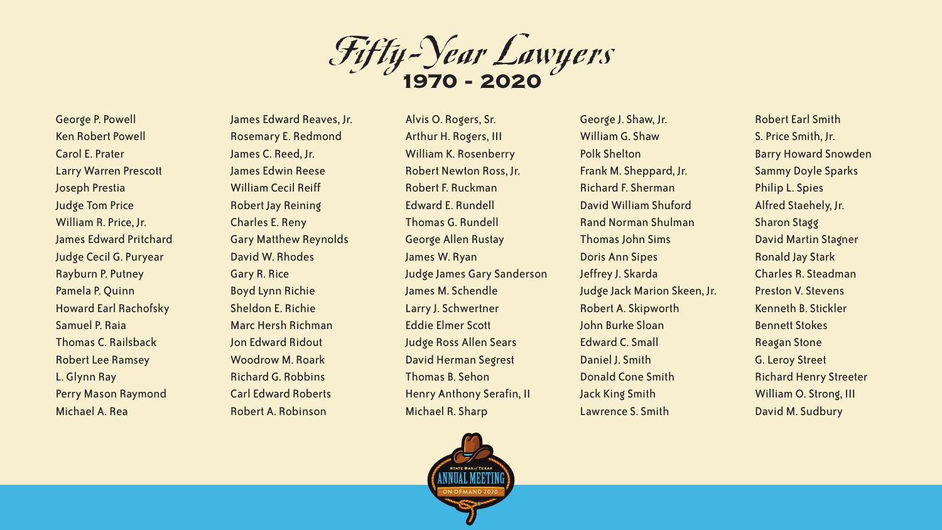Fifty-Year Lawyers **1970 - 2020**

George P. Powell Ken Robert Powell Carol E. Prater Larry Warren Prescott Joseph Prestia Judge Tom Price William R. Price, Jr. James Edward Pritchard Judge Cecil G. Puryear Rayburn P. Putney Pamela P. Quinn Howard Earl Rachofsky Samuel P. Raia Thomas C. Railsback Robert Lee Ramsey L. Glynn Ray Perry Mason Raymond Michael A. Rea

James Edward Reaves, Jr. Rosemary E. Redmond James C. Reed, Jr. James Edwin Reese William Cecil Reiff Robert Jay Reining Charles E. Reny Gary Matthew Reynolds David W. Rhodes Gary R. Rice Boyd Lynn Richie Sheldon E. Richie Marc Hersh Richman Jon Edward Ridout Woodrow M. Roark Richard G. Robbins Carl Edward Roberts Robert A. Robinson

Alvis O. Rogers, Sr. Arthur H. Rogers, III William K. Rosenberry Robert Newton Ross, Jr. Robert F. Ruckman Edward E. Rundell Thomas G. Rundell George Allen Rustay James W. Ryan Judge James Gary Sanderson James M. Schendle Larry J. Schwertner Eddie Elmer Scott Judge Ross Allen Sears David Herman Segrest Thomas B. Sehon Henry Anthony Serafin, II Michael R. Sharp



George J. Shaw, Jr. William G. Shaw Polk Shelton Frank M. Sheppard, Jr. Richard F. Sherman David William Shuford Rand Norman Shulman Thomas John Sims Doris Ann Sipes Jeffrey J. Skarda Judge Jack Marion Skeen, Jr. Robert A. Skipworth John Burke Sloan Edward C. Small Daniel J. Smith Donald Cone Smith Jack King Smith Lawrence S. Smith

Robert Earl Smith S. Price Smith, Jr. Barry Howard Snowden Sammy Doyle Sparks Philip L. Spies Alfred Staehely, Jr. Sharon Stagg David Martin Stagner Ronald Jay Stark Charles R. Steadman Preston V. Stevens Kenneth B. Stickler Bennett Stokes Reagan Stone G. Leroy Street Richard Henry Streeter William O. Strong, III David M. Sudbury